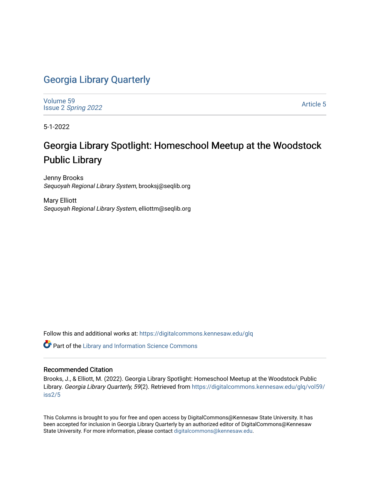### [Georgia Library Quarterly](https://digitalcommons.kennesaw.edu/glq)

[Volume 59](https://digitalcommons.kennesaw.edu/glq/vol59) Issue 2 [Spring 2022](https://digitalcommons.kennesaw.edu/glq/vol59/iss2) 

[Article 5](https://digitalcommons.kennesaw.edu/glq/vol59/iss2/5) 

5-1-2022

## Georgia Library Spotlight: Homeschool Meetup at the Woodstock Public Library

Jenny Brooks Sequoyah Regional Library System, brooksj@seqlib.org

Mary Elliott Sequoyah Regional Library System, elliottm@seqlib.org

Follow this and additional works at: [https://digitalcommons.kennesaw.edu/glq](https://digitalcommons.kennesaw.edu/glq?utm_source=digitalcommons.kennesaw.edu%2Fglq%2Fvol59%2Fiss2%2F5&utm_medium=PDF&utm_campaign=PDFCoverPages) 

Part of the [Library and Information Science Commons](http://network.bepress.com/hgg/discipline/1018?utm_source=digitalcommons.kennesaw.edu%2Fglq%2Fvol59%2Fiss2%2F5&utm_medium=PDF&utm_campaign=PDFCoverPages) 

#### Recommended Citation

Brooks, J., & Elliott, M. (2022). Georgia Library Spotlight: Homeschool Meetup at the Woodstock Public Library. Georgia Library Quarterly, 59(2). Retrieved from [https://digitalcommons.kennesaw.edu/glq/vol59/](https://digitalcommons.kennesaw.edu/glq/vol59/iss2/5?utm_source=digitalcommons.kennesaw.edu%2Fglq%2Fvol59%2Fiss2%2F5&utm_medium=PDF&utm_campaign=PDFCoverPages) [iss2/5](https://digitalcommons.kennesaw.edu/glq/vol59/iss2/5?utm_source=digitalcommons.kennesaw.edu%2Fglq%2Fvol59%2Fiss2%2F5&utm_medium=PDF&utm_campaign=PDFCoverPages)

This Columns is brought to you for free and open access by DigitalCommons@Kennesaw State University. It has been accepted for inclusion in Georgia Library Quarterly by an authorized editor of DigitalCommons@Kennesaw State University. For more information, please contact [digitalcommons@kennesaw.edu.](mailto:digitalcommons@kennesaw.edu)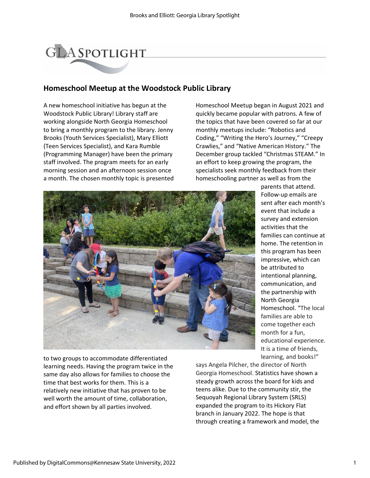# **GLASPOTLIGHT**

#### **Homeschool Meetup at the Woodstock Public Library**

A new homeschool initiative has begun at the Woodstock Public Library! Library staff are working alongside North Georgia Homeschool to bring a monthly program to the library. Jenny Brooks (Youth Services Specialist), Mary Elliott (Teen Services Specialist), and Kara Rumble (Programming Manager) have been the primary staff involved. The program meets for an early morning session and an afternoon session once a month. The chosen monthly topic is presented Homeschool Meetup began in August 2021 and quickly became popular with patrons. A few of the topics that have been covered so far at our monthly meetups include: "Robotics and Coding," "Writing the Hero's Journey," "Creepy Crawlies," and "Native American History." The December group tackled "Christmas STEAM." In an effort to keep growing the program, the specialists seek monthly feedback from their homeschooling partner as well as from the



parents that attend. Follow-up emails are sent after each month's event that include a survey and extension activities that the families can continue at home. The retention in this program has been impressive, which can be attributed to intentional planning, communication, and the partnership with North Georgia Homeschool. "The local families are able to come together each month for a fun, educational experience. It is a time of friends, learning, and books!"

to two groups to accommodate differentiated learning needs. Having the program twice in the same day also allows for families to choose the time that best works for them. This is a relatively new initiative that has proven to be well worth the amount of time, collaboration, and effort shown by all parties involved.

says Angela Pilcher, the director of North Georgia Homeschool. Statistics have shown a steady growth across the board for kids and teens alike. Due to the community stir, the Sequoyah Regional Library System (SRLS) expanded the program to its Hickory Flat branch in January 2022. The hope is that through creating a framework and model, the